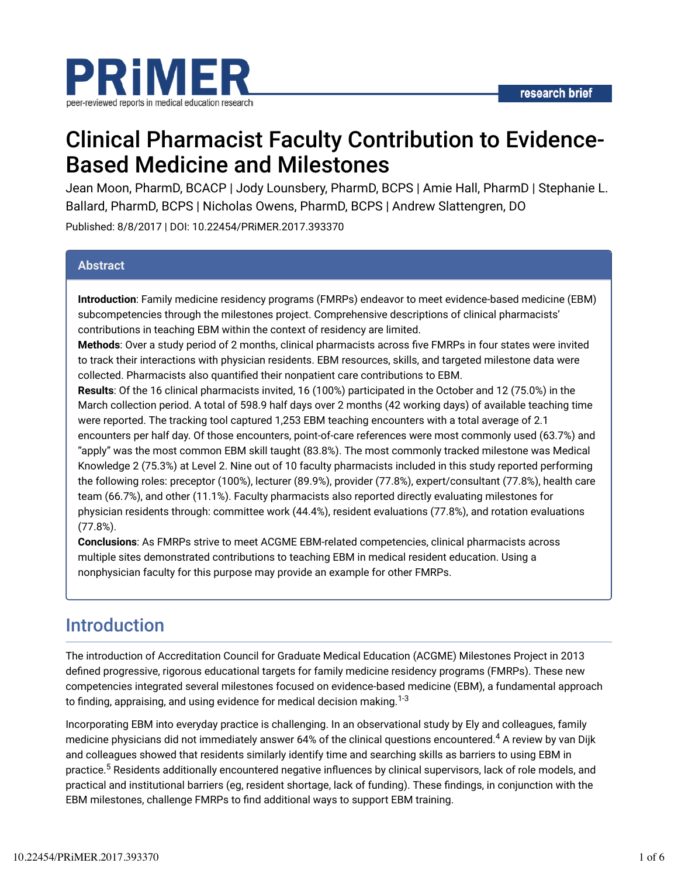

# Clinical Pharmacist Faculty Contribution to Evidence-Based Medicine and Milestones

Jean Moon, PharmD, BCACP | Jody Lounsbery, PharmD, BCPS | Amie Hall, PharmD | Stephanie L. Ballard, PharmD, BCPS | Nicholas Owens, PharmD, BCPS | Andrew Slattengren, DO

Published: 8/8/2017 | DOI: 10.22454/PRiMER.2017.393370

#### **Abstract**

**Introduction**: Family medicine residency programs (FMRPs) endeavor to meet evidence-based medicine (EBM) subcompetencies through the milestones project. Comprehensive descriptions of clinical pharmacists' contributions in teaching EBM within the context of residency are limited.

**Methods**: Over a study period of 2 months, clinical pharmacists across five FMRPs in four states were invited to track their interactions with physician residents. EBM resources, skills, and targeted milestone data were collected. Pharmacists also quantified their nonpatient care contributions to EBM.

**Results**: Of the 16 clinical pharmacists invited, 16 (100%) participated in the October and 12 (75.0%) in the March collection period. A total of 598.9 half days over 2 months (42 working days) of available teaching time were reported. The tracking tool captured 1,253 EBM teaching encounters with a total average of 2.1 encounters per half day. Of those encounters, point-of-care references were most commonly used (63.7%) and "apply" was the most common EBM skill taught (83.8%). The most commonly tracked milestone was Medical Knowledge 2 (75.3%) at Level 2. Nine out of 10 faculty pharmacists included in this study reported performing the following roles: preceptor (100%), lecturer (89.9%), provider (77.8%), expert/consultant (77.8%), health care team (66.7%), and other (11.1%). Faculty pharmacists also reported directly evaluating milestones for physician residents through: committee work (44.4%), resident evaluations (77.8%), and rotation evaluations (77.8%).

**Conclusions**: As FMRPs strive to meet ACGME EBM-related competencies, clinical pharmacists across multiple sites demonstrated contributions to teaching EBM in medical resident education. Using a nonphysician faculty for this purpose may provide an example for other FMRPs.

# Introduction

The introduction of Accreditation Council for Graduate Medical Education (ACGME) Milestones Project in 2013 defined progressive, rigorous educational targets for family medicine residency programs (FMRPs). These new competencies integrated several milestones focused on evidence-based medicine (EBM), a fundamental approach to finding, appraising, and using evidence for medical decision making. $^{1\text{-}3}$ 

Incorporating EBM into everyday practice is challenging. In an observational study by Ely and colleagues, family medicine physicians did not immediately answer 64% of the clinical questions encountered. $^4$  A review by van Dijk and colleagues showed that residents similarly identify time and searching skills as barriers to using EBM in practice.<sup>5</sup> Residents additionally encountered negative influences by clinical supervisors, lack of role models, and practical and institutional barriers (eg, resident shortage, lack of funding). These findings, in conjunction with the EBM milestones, challenge FMRPs to \nd additional ways to support EBM training.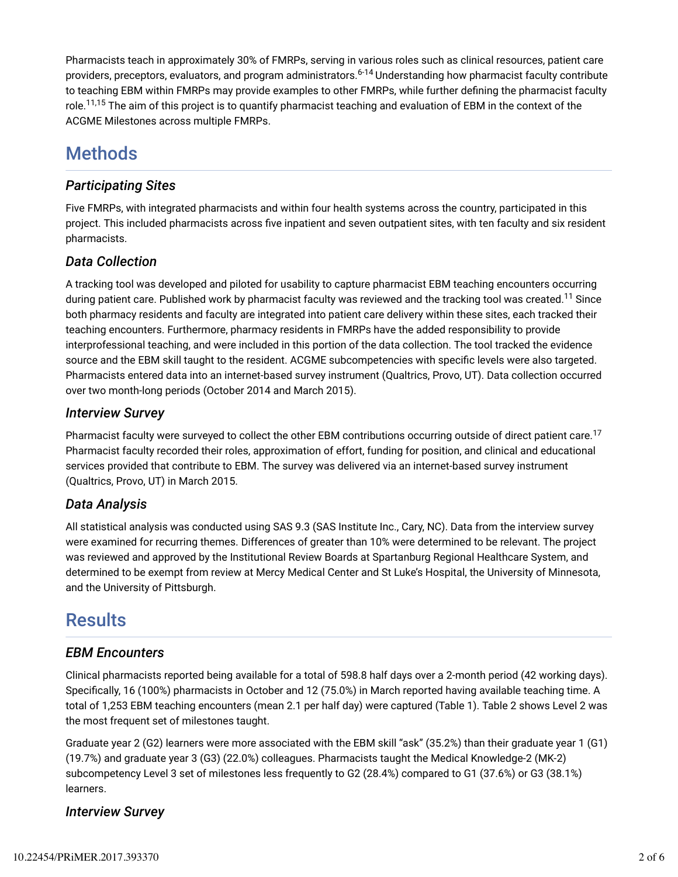Pharmacists teach in approximately 30% of FMRPs, serving in various roles such as clinical resources, patient care providers, preceptors, evaluators, and program administrators.<sup>6-14</sup> Understanding how pharmacist faculty contribute to teaching EBM within FMRPs may provide examples to other FMRPs, while further defining the pharmacist faculty role.<sup>11,15</sup> The aim of this project is to quantify pharmacist teaching and evaluation of EBM in the context of the ACGME Milestones across multiple FMRPs.

# **Methods**

### *Participating Sites*

Five FMRPs, with integrated pharmacists and within four health systems across the country, participated in this project. This included pharmacists across five inpatient and seven outpatient sites, with ten faculty and six resident pharmacists.

### *Data Collection*

A tracking tool was developed and piloted for usability to capture pharmacist EBM teaching encounters occurring during patient care. Published work by pharmacist faculty was reviewed and the tracking tool was created.<sup>11</sup> Since both pharmacy residents and faculty are integrated into patient care delivery within these sites, each tracked their teaching encounters. Furthermore, pharmacy residents in FMRPs have the added responsibility to provide interprofessional teaching, and were included in this portion of the data collection. The tool tracked the evidence source and the EBM skill taught to the resident. ACGME subcompetencies with specific levels were also targeted. Pharmacists entered data into an internet-based survey instrument (Qualtrics, Provo, UT). Data collection occurred over two month-long periods (October 2014 and March 2015).

### *Interview Survey*

Pharmacist faculty were surveyed to collect the other EBM contributions occurring outside of direct patient care.<sup>17</sup> Pharmacist faculty recorded their roles, approximation of effort, funding for position, and clinical and educational services provided that contribute to EBM. The survey was delivered via an internet-based survey instrument (Qualtrics, Provo, UT) in March 2015.

### *Data Analysis*

All statistical analysis was conducted using SAS 9.3 (SAS Institute Inc., Cary, NC). Data from the interview survey were examined for recurring themes. Differences of greater than 10% were determined to be relevant. The project was reviewed and approved by the Institutional Review Boards at Spartanburg Regional Healthcare System, and determined to be exempt from review at Mercy Medical Center and St Luke's Hospital, the University of Minnesota, and the University of Pittsburgh.

## **Results**

### *EBM Encounters*

Clinical pharmacists reported being available for a total of 598.8 half days over a 2-month period (42 working days). Specifically, 16 (100%) pharmacists in October and 12 (75.0%) in March reported having available teaching time. A total of 1,253 EBM teaching encounters (mean 2.1 per half day) were captured (Table 1). Table 2 shows Level 2 was the most frequent set of milestones taught.

Graduate year 2 (G2) learners were more associated with the EBM skill "ask" (35.2%) than their graduate year 1 (G1) (19.7%) and graduate year 3 (G3) (22.0%) colleagues. Pharmacists taught the Medical Knowledge-2 (MK-2) subcompetency Level 3 set of milestones less frequently to G2 (28.4%) compared to G1 (37.6%) or G3 (38.1%) learners.

### *Interview Survey*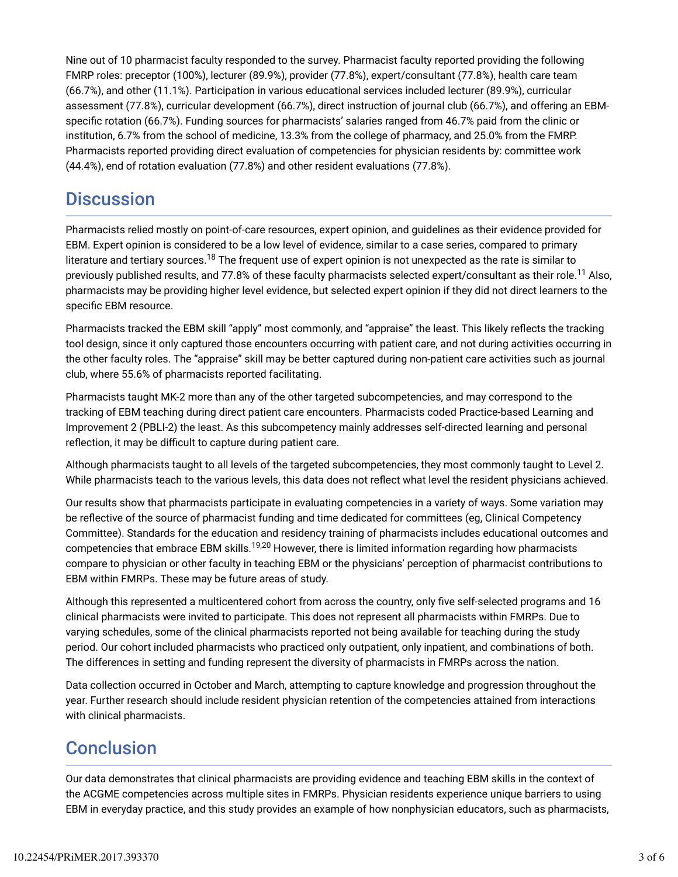Nine out of 10 pharmacist faculty responded to the survey. Pharmacist faculty reported providing the following FMRP roles: preceptor (100%), lecturer (89.9%), provider (77.8%), expert/consultant (77.8%), health care team (66.7%), and other (11.1%). Participation in various educational services included lecturer (89.9%), curricular assessment (77.8%), curricular development (66.7%), direct instruction of journal club (66.7%), and offering an EBMspecific rotation (66.7%). Funding sources for pharmacists' salaries ranged from 46.7% paid from the clinic or institution, 6.7% from the school of medicine, 13.3% from the college of pharmacy, and 25.0% from the FMRP. Pharmacists reported providing direct evaluation of competencies for physician residents by: committee work (44.4%), end of rotation evaluation (77.8%) and other resident evaluations (77.8%).

## **Discussion**

Pharmacists relied mostly on point-of-care resources, expert opinion, and guidelines as their evidence provided for EBM. Expert opinion is considered to be a low level of evidence, similar to a case series, compared to primary literature and tertiary sources.<sup>18</sup> The frequent use of expert opinion is not unexpected as the rate is similar to previously published results, and 77.8% of these faculty pharmacists selected expert/consultant as their role.<sup>11</sup> Also, pharmacists may be providing higher level evidence, but selected expert opinion if they did not direct learners to the specific EBM resource.

Pharmacists tracked the EBM skill "apply" most commonly, and "appraise" the least. This likely reflects the tracking tool design, since it only captured those encounters occurring with patient care, and not during activities occurring in the other faculty roles. The "appraise" skill may be better captured during non-patient care activities such as journal club, where 55.6% of pharmacists reported facilitating.

Pharmacists taught MK-2 more than any of the other targeted subcompetencies, and may correspond to the tracking of EBM teaching during direct patient care encounters. Pharmacists coded Practice-based Learning and Improvement 2 (PBLI-2) the least. As this subcompetency mainly addresses self-directed learning and personal reflection, it may be difficult to capture during patient care.

Although pharmacists taught to all levels of the targeted subcompetencies, they most commonly taught to Level 2. While pharmacists teach to the various levels, this data does not reflect what level the resident physicians achieved.

Our results show that pharmacists participate in evaluating competencies in a variety of ways. Some variation may be reflective of the source of pharmacist funding and time dedicated for committees (eg, Clinical Competency Committee). Standards for the education and residency training of pharmacists includes educational outcomes and competencies that embrace EBM skills.<sup>19,20</sup> However, there is limited information regarding how pharmacists compare to physician or other faculty in teaching EBM or the physicians' perception of pharmacist contributions to EBM within FMRPs. These may be future areas of study.

Although this represented a multicentered cohort from across the country, only five self-selected programs and 16 clinical pharmacists were invited to participate. This does not represent all pharmacists within FMRPs. Due to varying schedules, some of the clinical pharmacists reported not being available for teaching during the study period. Our cohort included pharmacists who practiced only outpatient, only inpatient, and combinations of both. The differences in setting and funding represent the diversity of pharmacists in FMRPs across the nation.

Data collection occurred in October and March, attempting to capture knowledge and progression throughout the year. Further research should include resident physician retention of the competencies attained from interactions with clinical pharmacists.

# **Conclusion**

Our data demonstrates that clinical pharmacists are providing evidence and teaching EBM skills in the context of the ACGME competencies across multiple sites in FMRPs. Physician residents experience unique barriers to using EBM in everyday practice, and this study provides an example of how nonphysician educators, such as pharmacists,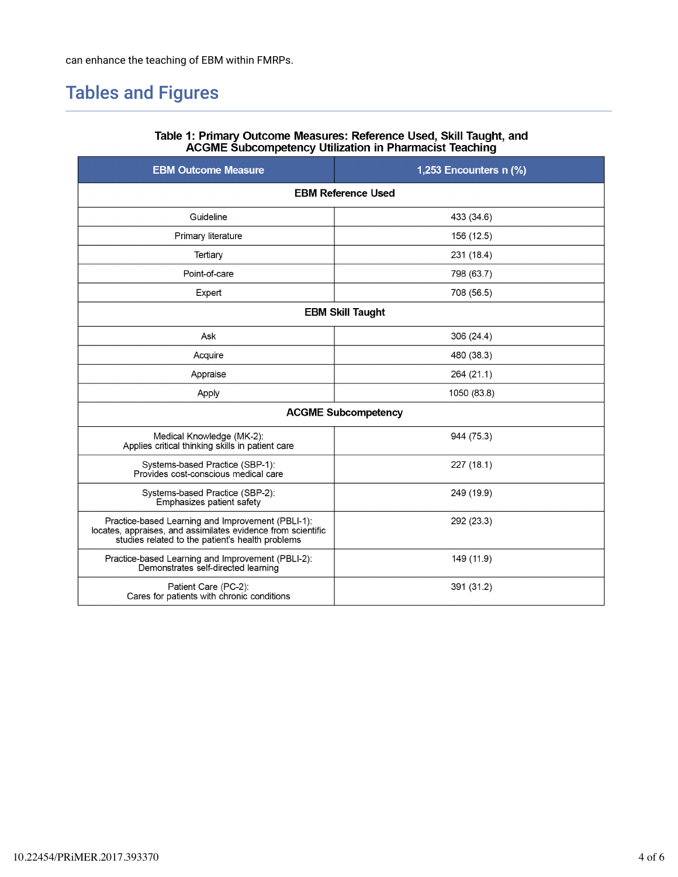# Tables and Figures

| <b>EBM Outcome Measure</b>                                                                                                                                            | 1,253 Encounters n (%) |  |  |  |  |
|-----------------------------------------------------------------------------------------------------------------------------------------------------------------------|------------------------|--|--|--|--|
| <b>EBM Reference Used</b>                                                                                                                                             |                        |  |  |  |  |
| Guideline                                                                                                                                                             | 433 (34.6)             |  |  |  |  |
| Primary literature                                                                                                                                                    | 156 (12.5)             |  |  |  |  |
| Tertiary                                                                                                                                                              | 231 (18.4)             |  |  |  |  |
| Point-of-care                                                                                                                                                         | 798 (63.7)             |  |  |  |  |
| Expert                                                                                                                                                                | 708 (56.5)             |  |  |  |  |
| <b>EBM Skill Taught</b>                                                                                                                                               |                        |  |  |  |  |
| Ask                                                                                                                                                                   | 306 (24.4)             |  |  |  |  |
| Acquire                                                                                                                                                               | 480 (38.3)             |  |  |  |  |
| Appraise                                                                                                                                                              | 264 (21.1)             |  |  |  |  |
| Apply                                                                                                                                                                 | 1050 (83.8)            |  |  |  |  |
| <b>ACGME Subcompetency</b>                                                                                                                                            |                        |  |  |  |  |
| Medical Knowledge (MK-2):<br>Applies critical thinking skills in patient care                                                                                         | 944 (75.3)             |  |  |  |  |
| Systems-based Practice (SBP-1):<br>Provides cost-conscious medical care                                                                                               | 227(18.1)              |  |  |  |  |
| Systems-based Practice (SBP-2):<br>Emphasizes patient safety                                                                                                          | 249 (19.9)             |  |  |  |  |
| Practice-based Learning and Improvement (PBLI-1).<br>locates, appraises, and assimilates evidence from scientific<br>studies related to the patient's health problems | 292 (23.3)             |  |  |  |  |
| Practice-based Learning and Improvement (PBLI-2):<br>Demonstrates self-directed learning                                                                              | 149 (11.9)             |  |  |  |  |
| Patient Care (PC-2):<br>Cares for patients with chronic conditions                                                                                                    | 391 (31.2)             |  |  |  |  |

# Table 1: Primary Outcome Measures: Reference Used, Skill Taught, and<br>ACGME Subcompetency Utilization in Pharmacist Teaching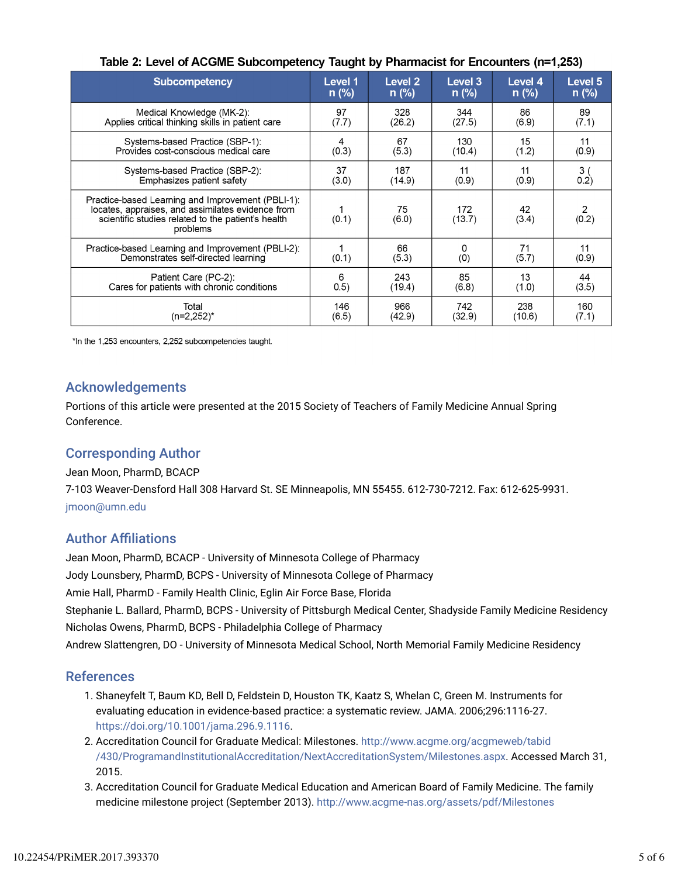| <b>Subcompetency</b>                                                                                                                                                     | Level 1 | Level <sub>2</sub> | Level 3       | Level 4     | Level 5        |
|--------------------------------------------------------------------------------------------------------------------------------------------------------------------------|---------|--------------------|---------------|-------------|----------------|
|                                                                                                                                                                          | $n$ (%) | $n$ (%)            | $n$ (%)       | $n$ (%)     | $n$ (%)        |
| Medical Knowledge (MK-2):                                                                                                                                                | 97      | 328                | 344           | 86          | 89             |
| Applies critical thinking skills in patient care                                                                                                                         | (7.7)   | (26.2)             | (27.5)        | (6.9)       | (7.1)          |
| Systems-based Practice (SBP-1):                                                                                                                                          | 4       | 67                 | 130           | 15          | 11             |
| Provides cost-conscious medical care                                                                                                                                     | (0.3)   | (5.3)              | (10.4)        | (1.2)       | (0.9)          |
| Systems-based Practice (SBP-2):                                                                                                                                          | 37      | 187                | 11            | 11          | 3 <sub>1</sub> |
| Emphasizes patient safety                                                                                                                                                | (3.0)   | (14.9)             | (0.9)         | (0.9)       | 0.2)           |
| Practice-based Learning and Improvement (PBLI-1):<br>locates, appraises, and assimilates evidence from<br>scientific studies related to the patient's health<br>problems | (0.1)   | 75<br>(6.0)        | 172<br>(13.7) | 42<br>(3.4) | 2<br>(0.2)     |
| Practice-based Learning and Improvement (PBLI-2):                                                                                                                        | (0.1)   | 66                 | 0             | 71          | 11             |
| Demonstrates self-directed learning                                                                                                                                      |         | (5.3)              | (0)           | (5.7)       | (0.9)          |
| Patient Care (PC-2):                                                                                                                                                     | 6       | 243                | 85            | 13          | 44             |
| Cares for patients with chronic conditions                                                                                                                               | 0.5)    | (19.4)             | (6.8)         | (1.0)       | (3.5)          |
| Total                                                                                                                                                                    | 146     | 966                | 742           | 238         | 160            |
| $(n=2,252)^*$                                                                                                                                                            | (6.5)   | (42.9)             | (32.9)        | (10.6)      | (7.1)          |

#### Table 2: Level of ACGME Subcompetency Taught by Pharmacist for Encounters (n=1.253)

\*In the 1,253 encounters, 2,252 subcompetencies taught.

#### Acknowledgements

Portions of this article were presented at the 2015 Society of Teachers of Family Medicine Annual Spring Conference.

#### Corresponding Author

Jean Moon, PharmD, BCACP

7-103 Weaver-Densford Hall 308 Harvard St. SE Minneapolis, MN 55455. 612-730-7212. Fax: 612-625-9931. jmoon@umn.edu

#### **Author Affiliations**

Jean Moon, PharmD, BCACP - University of Minnesota College of Pharmacy Jody Lounsbery, PharmD, BCPS - University of Minnesota College of Pharmacy Amie Hall, PharmD - Family Health Clinic, Eglin Air Force Base, Florida Stephanie L. Ballard, PharmD, BCPS - University of Pittsburgh Medical Center, Shadyside Family Medicine Residency Nicholas Owens, PharmD, BCPS - Philadelphia College of Pharmacy Andrew Slattengren, DO - University of Minnesota Medical School, North Memorial Family Medicine Residency

#### References

- 1. Shaneyfelt T, Baum KD, Bell D, Feldstein D, Houston TK, Kaatz S, Whelan C, Green M. Instruments for evaluating education in evidence-based practice: a systematic review. JAMA. 2006;296:1116-27. https://doi.org/10.1001/jama.296.9.1116.
- 2. Accreditation Council for Graduate Medical: Milestones. http://www.acgme.org/acgmeweb/tabid /430/ProgramandInstitutionalAccreditation/NextAccreditationSystem/Milestones.aspx. Accessed March 31, 2015.
- 3. Accreditation Council for Graduate Medical Education and American Board of Family Medicine. The family medicine milestone project (September 2013). http://www.acgme-nas.org/assets/pdf/Milestones